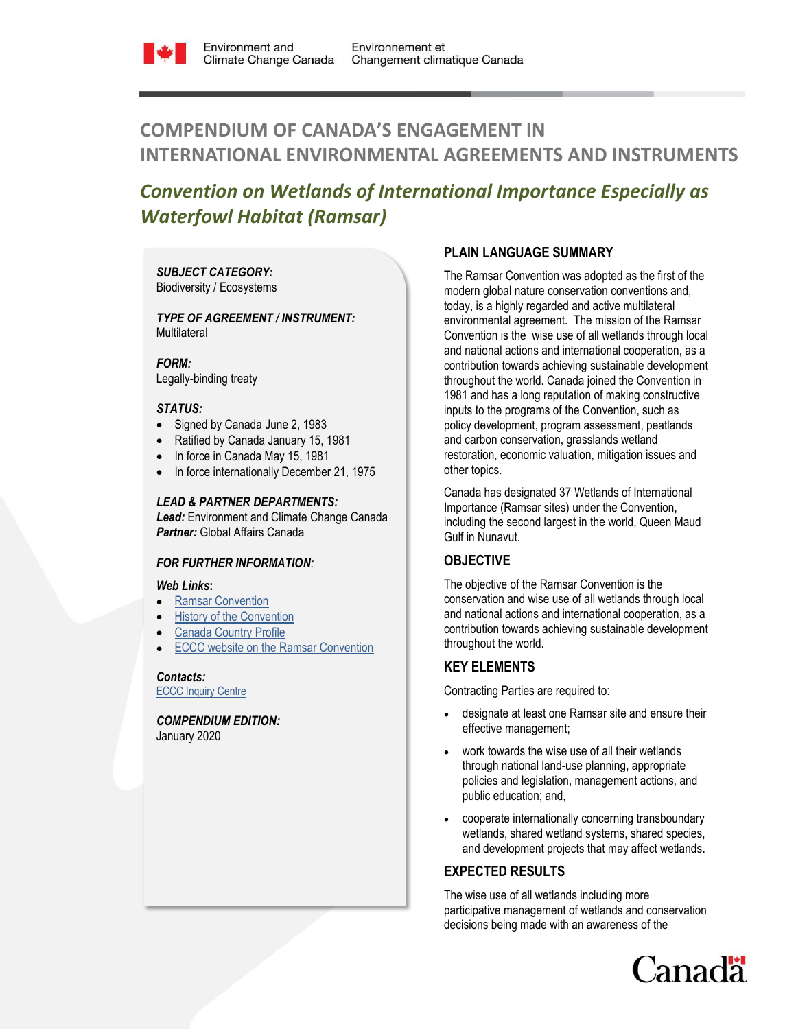

# **COMPENDIUM OF CANADA'S ENGAGEMENT IN INTERNATIONAL ENVIRONMENTAL AGREEMENTS AND INSTRUMENTS**

# *Convention on Wetlands of International Importance Especially as Waterfowl Habitat (Ramsar)*

*SUBJECT CATEGORY:*  Biodiversity / Ecosystems

*TYPE OF AGREEMENT / INSTRUMENT:*  **Multilateral** 

*FORM:* Legally-binding treaty

### *STATUS:*

- Signed by Canada June 2, 1983
- Ratified by Canada January 15, 1981
- In force in Canada May 15, 1981
- In force internationally December 21, 1975

### *LEAD & PARTNER DEPARTMENTS:*

*Lead:* Environment and Climate Change Canada *Partner:* Global Affairs Canada

## *FOR FURTHER INFORMATION:*

#### *Web Links***:**

- [Ramsar Convention](http://www.ramsar.org/)
- [History of the Convention](http://www.ramsar.org/about/history-of-the-ramsar-convention)
- [Canada Country Profile](http://www.ramsar.org/wetland/canada)
- [ECCC website on the Ramsar Convention](https://www.canada.ca/en/environment-climate-change/services/wildlife-habitat/international-programs-conventions.html#targ1)

*Contacts:* [ECCC Inquiry Centre](https://www.canada.ca/en/environment-climate-change/corporate/contact.html)

*COMPENDIUM EDITION:* January 2020

## **PLAIN LANGUAGE SUMMARY**

The Ramsar Convention was adopted as the first of the modern global nature conservation conventions and, today, is a highly regarded and active multilateral environmental agreement. The mission of the Ramsar Convention is the wise use of all wetlands through local and national actions and international cooperation, as a contribution towards achieving sustainable development throughout the world. Canada joined the Convention in 1981 and has a long reputation of making constructive inputs to the programs of the Convention, such as policy development, program assessment, peatlands and carbon conservation, grasslands wetland restoration, economic valuation, mitigation issues and other topics.

Canada has designated 37 Wetlands of International Importance (Ramsar sites) under the Convention, including the second largest in the world, Queen Maud Gulf in Nunavut.

## **OBJECTIVE**

The objective of the Ramsar Convention is the conservation and wise use of all wetlands through local and national actions and international cooperation, as a contribution towards achieving sustainable development throughout the world.

## **KEY ELEMENTS**

Contracting Parties are required to:

- designate at least one Ramsar site and ensure their effective management;
- work towards the wise use of all their wetlands through national land-use planning, appropriate policies and legislation, management actions, and public education; and,
- cooperate internationally concerning transboundary wetlands, shared wetland systems, shared species, and development projects that may affect wetlands.

## **EXPECTED RESULTS**

The wise use of all wetlands including more participative management of wetlands and conservation decisions being made with an awareness of the